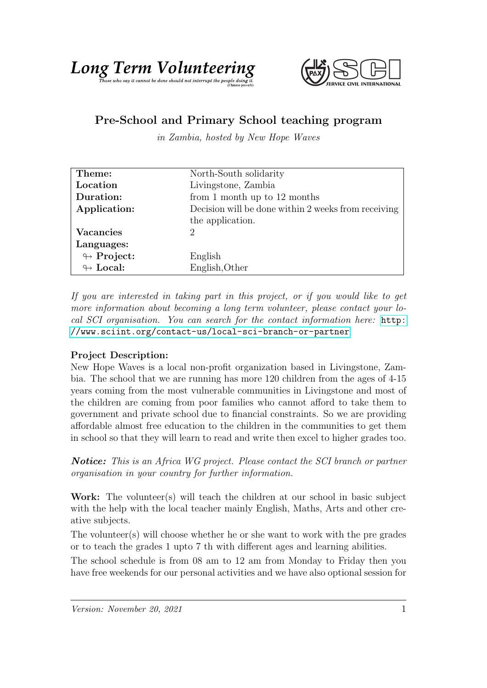

## Pre-School and Primary School teaching program

in Zambia, hosted by New Hope Waves

| Theme:                     | North-South solidarity                              |
|----------------------------|-----------------------------------------------------|
| Location                   | Livingstone, Zambia                                 |
| Duration:                  | from 1 month up to $12$ months                      |
| Application:               | Decision will be done within 2 weeks from receiving |
|                            | the application.                                    |
| Vacancies                  | $\mathcal{D}$                                       |
| Languages:                 |                                                     |
| $\looparrowright$ Project: | English                                             |
| $\leftrightarrow$ Local:   | English, Other                                      |

If you are interested in taking part in this project, or if you would like to get more information about becoming a long term volunteer, please contact your local SCI organisation. You can search for the contact information here: [http:](http://www.sciint.org/contact-us/local-sci-branch-or-partner) [//www.sciint.org/contact-us/local-sci-branch-or-partner](http://www.sciint.org/contact-us/local-sci-branch-or-partner)

## Project Description:

New Hope Waves is a local non-profit organization based in Livingstone, Zambia. The school that we are running has more 120 children from the ages of 4-15 years coming from the most vulnerable communities in Livingstone and most of the children are coming from poor families who cannot afford to take them to government and private school due to financial constraints. So we are providing affordable almost free education to the children in the communities to get them in school so that they will learn to read and write then excel to higher grades too.

Notice: This is an Africa WG project. Please contact the SCI branch or partner organisation in your country for further information.

Work: The volunteer(s) will teach the children at our school in basic subject with the help with the local teacher mainly English, Maths, Arts and other creative subjects.

The volunteer(s) will choose whether he or she want to work with the pre grades or to teach the grades 1 upto 7 th with different ages and learning abilities.

The school schedule is from 08 am to 12 am from Monday to Friday then you have free weekends for our personal activities and we have also optional session for